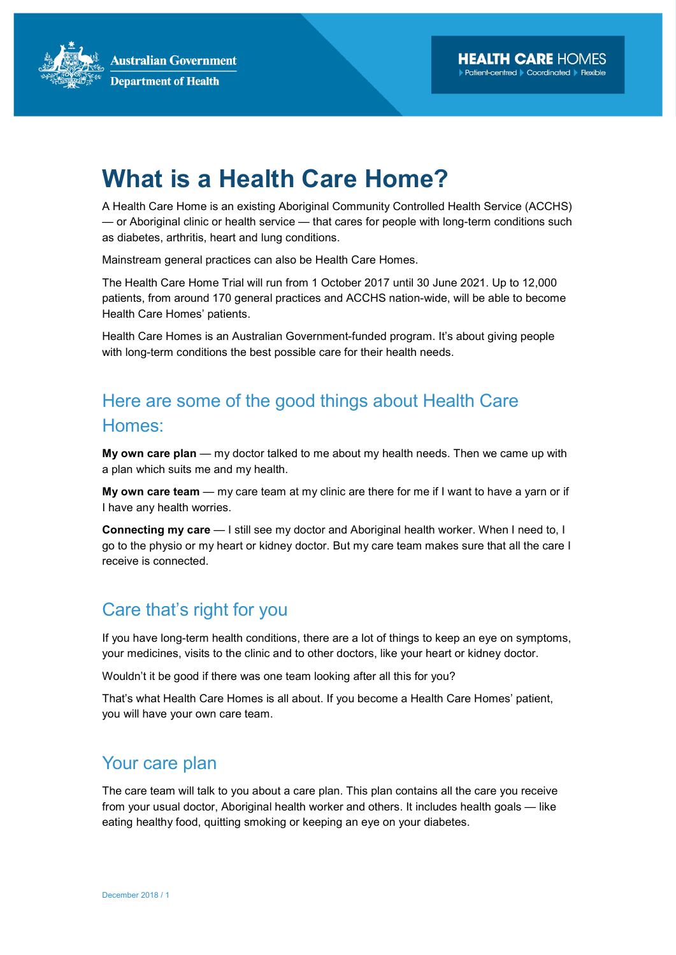**Australian Government Department of Health** 

# What is a Health Care Home?

A Health Care Home is an existing Aboriginal Community Controlled Health Service (ACCHS) — or Aboriginal clinic or health service — that cares for people with long-term conditions such as diabetes, arthritis, heart and lung conditions.

Mainstream general practices can also be Health Care Homes.

The Health Care Home Trial will run from 1 October 2017 until 30 June 2021. Up to 12,000 patients, from around 170 general practices and ACCHS nation-wide, will be able to become Health Care Homes' patients.

Health Care Homes is an Australian Government-funded program. It's about giving people with long-term conditions the best possible care for their health needs.

## Here are some of the good things about Health Care Homes:

My own care plan  $-$  my doctor talked to me about my health needs. Then we came up with a plan which suits me and my health.

My own care team — my care team at my clinic are there for me if I want to have a yarn or if I have any health worries.

Connecting my care — I still see my doctor and Aboriginal health worker. When I need to, I go to the physio or my heart or kidney doctor. But my care team makes sure that all the care I receive is connected.

### Care that's right for you

If you have long-term health conditions, there are a lot of things to keep an eye on symptoms, your medicines, visits to the clinic and to other doctors, like your heart or kidney doctor.

Wouldn't it be good if there was one team looking after all this for you?

That's what Health Care Homes is all about. If you become a Health Care Homes' patient, you will have your own care team.

#### Your care plan

The care team will talk to you about a care plan. This plan contains all the care you receive from your usual doctor, Aboriginal health worker and others. It includes health goals — like eating healthy food, quitting smoking or keeping an eye on your diabetes.